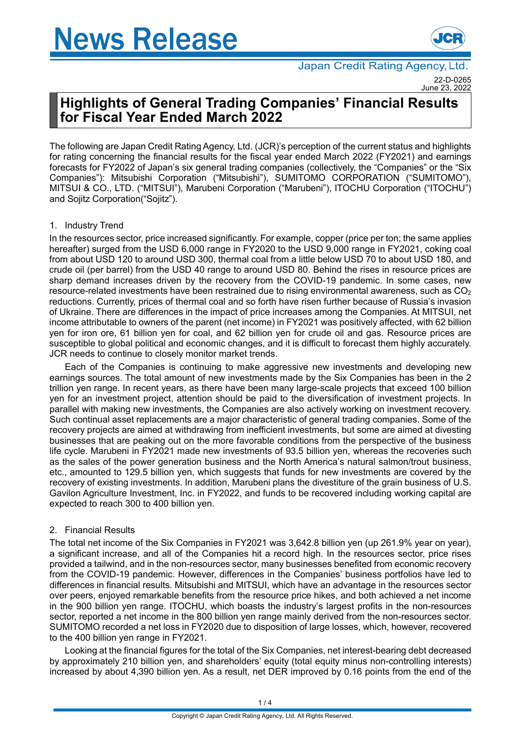

Japan Credit Rating Agency, Ltd. 22-D-0265 June 23, 202

# **Highlights of General Trading Companies' Financial Results for Fiscal Year Ended March 2022**

The following are Japan Credit Rating Agency, Ltd. (JCR)'s perception of the current status and highlights for rating concerning the financial results for the fiscal year ended March 2022 (FY2021) and earnings forecasts for FY2022 of Japan's six general trading companies (collectively, the "Companies" or the "Six Companies"): Mitsubishi Corporation ("Mitsubishi"), SUMITOMO CORPORATION ("SUMITOMO"), MITSUI & CO., LTD. ("MITSUI"), Marubeni Corporation ("Marubeni"), ITOCHU Corporation ("ITOCHU") and Sojitz Corporation("Sojitz").

## 1. Industry Trend

In the resources sector, price increased significantly. For example, copper (price per ton; the same applies hereafter) surged from the USD 6,000 range in FY2020 to the USD 9,000 range in FY2021, coking coal from about USD 120 to around USD 300, thermal coal from a little below USD 70 to about USD 180, and crude oil (per barrel) from the USD 40 range to around USD 80. Behind the rises in resource prices are sharp demand increases driven by the recovery from the COVID-19 pandemic. In some cases, new resource-related investments have been restrained due to rising environmental awareness, such as  $CO<sub>2</sub>$ reductions. Currently, prices of thermal coal and so forth have risen further because of Russia's invasion of Ukraine. There are differences in the impact of price increases among the Companies. At MITSUI, net income attributable to owners of the parent (net income) in FY2021 was positively affected, with 62 billion yen for iron ore, 61 billion yen for coal, and 62 billion yen for crude oil and gas. Resource prices are susceptible to global political and economic changes, and it is difficult to forecast them highly accurately. JCR needs to continue to closely monitor market trends.

Each of the Companies is continuing to make aggressive new investments and developing new earnings sources. The total amount of new investments made by the Six Companies has been in the 2 trillion yen range. In recent years, as there have been many large-scale projects that exceed 100 billion yen for an investment project, attention should be paid to the diversification of investment projects. In parallel with making new investments, the Companies are also actively working on investment recovery. Such continual asset replacements are a major characteristic of general trading companies. Some of the recovery projects are aimed at withdrawing from inefficient investments, but some are aimed at divesting businesses that are peaking out on the more favorable conditions from the perspective of the business life cycle. Marubeni in FY2021 made new investments of 93.5 billion yen, whereas the recoveries such as the sales of the power generation business and the North America's natural salmon/trout business, etc., amounted to 129.5 billion yen, which suggests that funds for new investments are covered by the recovery of existing investments. In addition, Marubeni plans the divestiture of the grain business of U.S. Gavilon Agriculture Investment, Inc. in FY2022, and funds to be recovered including working capital are expected to reach 300 to 400 billion yen.

## 2. Financial Results

The total net income of the Six Companies in FY2021 was 3,642.8 billion yen (up 261.9% year on year), a significant increase, and all of the Companies hit a record high. In the resources sector, price rises provided a tailwind, and in the non-resources sector, many businesses benefited from economic recovery from the COVID-19 pandemic. However, differences in the Companies' business portfolios have led to differences in financial results. Mitsubishi and MITSUI, which have an advantage in the resources sector over peers, enjoyed remarkable benefits from the resource price hikes, and both achieved a net income in the 900 billion yen range. ITOCHU, which boasts the industry's largest profits in the non-resources sector, reported a net income in the 800 billion yen range mainly derived from the non-resources sector. SUMITOMO recorded a net loss in FY2020 due to disposition of large losses, which, however, recovered to the 400 billion yen range in FY2021.

Looking at the financial figures for the total of the Six Companies, net interest-bearing debt decreased by approximately 210 billion yen, and shareholders' equity (total equity minus non-controlling interests) increased by about 4,390 billion yen. As a result, net DER improved by 0.16 points from the end of the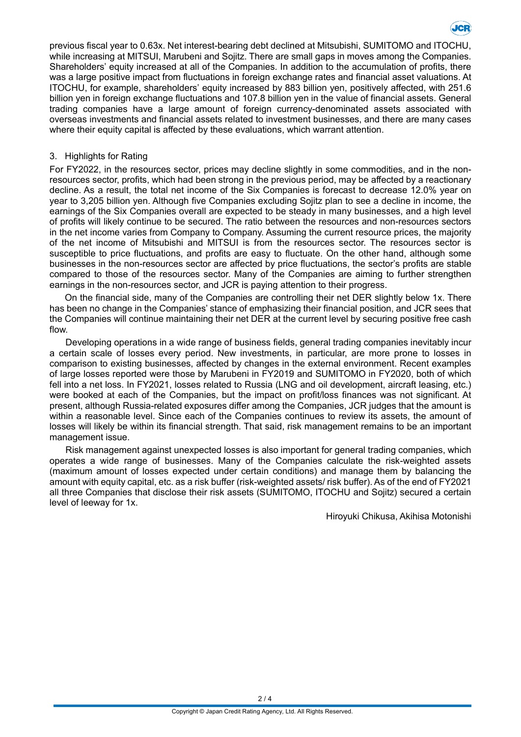

previous fiscal year to 0.63x. Net interest-bearing debt declined at Mitsubishi, SUMITOMO and ITOCHU, while increasing at MITSUI, Marubeni and Sojitz. There are small gaps in moves among the Companies. Shareholders' equity increased at all of the Companies. In addition to the accumulation of profits, there was a large positive impact from fluctuations in foreign exchange rates and financial asset valuations. At ITOCHU, for example, shareholders' equity increased by 883 billion yen, positively affected, with 251.6 billion yen in foreign exchange fluctuations and 107.8 billion yen in the value of financial assets. General trading companies have a large amount of foreign currency-denominated assets associated with overseas investments and financial assets related to investment businesses, and there are many cases where their equity capital is affected by these evaluations, which warrant attention.

## 3. Highlights for Rating

For FY2022, in the resources sector, prices may decline slightly in some commodities, and in the nonresources sector, profits, which had been strong in the previous period, may be affected by a reactionary decline. As a result, the total net income of the Six Companies is forecast to decrease 12.0% year on year to 3,205 billion yen. Although five Companies excluding Sojitz plan to see a decline in income, the earnings of the Six Companies overall are expected to be steady in many businesses, and a high level of profits will likely continue to be secured. The ratio between the resources and non-resources sectors in the net income varies from Company to Company. Assuming the current resource prices, the majority of the net income of Mitsubishi and MITSUI is from the resources sector. The resources sector is susceptible to price fluctuations, and profits are easy to fluctuate. On the other hand, although some businesses in the non-resources sector are affected by price fluctuations, the sector's profits are stable compared to those of the resources sector. Many of the Companies are aiming to further strengthen earnings in the non-resources sector, and JCR is paying attention to their progress.

On the financial side, many of the Companies are controlling their net DER slightly below 1x. There has been no change in the Companies' stance of emphasizing their financial position, and JCR sees that the Companies will continue maintaining their net DER at the current level by securing positive free cash flow.

Developing operations in a wide range of business fields, general trading companies inevitably incur a certain scale of losses every period. New investments, in particular, are more prone to losses in comparison to existing businesses, affected by changes in the external environment. Recent examples of large losses reported were those by Marubeni in FY2019 and SUMITOMO in FY2020, both of which fell into a net loss. In FY2021, losses related to Russia (LNG and oil development, aircraft leasing, etc.) were booked at each of the Companies, but the impact on profit/loss finances was not significant. At present, although Russia-related exposures differ among the Companies, JCR judges that the amount is within a reasonable level. Since each of the Companies continues to review its assets, the amount of losses will likely be within its financial strength. That said, risk management remains to be an important management issue.

Risk management against unexpected losses is also important for general trading companies, which operates a wide range of businesses. Many of the Companies calculate the risk-weighted assets (maximum amount of losses expected under certain conditions) and manage them by balancing the amount with equity capital, etc. as a risk buffer (risk-weighted assets/ risk buffer). As of the end of FY2021 all three Companies that disclose their risk assets (SUMITOMO, ITOCHU and Sojitz) secured a certain level of leeway for 1x.

Hiroyuki Chikusa, Akihisa Motonishi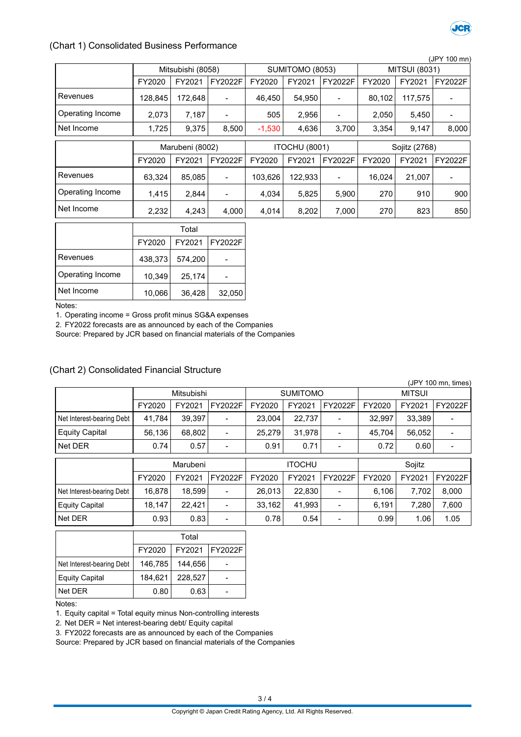

#### (Chart 1) Consolidated Business Performance

|                  |                 |                   |                      |          |                 |                              |                      |         | (JPY 100 mn)   |
|------------------|-----------------|-------------------|----------------------|----------|-----------------|------------------------------|----------------------|---------|----------------|
|                  |                 | Mitsubishi (8058) |                      |          | SUMITOMO (8053) |                              | <b>MITSUI (8031)</b> |         |                |
|                  | FY2020          | FY2021            | FY2022F              | FY2020   | FY2021          | FY2022F                      | FY2020               | FY2021  | <b>FY2022F</b> |
| Revenues         | 128,845         | 172,648           |                      | 46,450   | 54,950          |                              | 80,102               | 117,575 |                |
| Operating Income | 2,073           | 7,187             |                      | 505      | 2,956           | -                            | 2,050                | 5,450   |                |
| Net Income       | 1,725           | 9,375             | 8,500                | $-1,530$ | 4,636           | 3,700                        | 3,354                | 9,147   | 8,000          |
|                  |                 |                   |                      |          |                 |                              |                      |         |                |
|                  | Marubeni (8002) |                   | <b>ITOCHU (8001)</b> |          |                 | Sojitz (2768)                |                      |         |                |
|                  | FY2020          | FY2021            | FY2022F              | FY2020   | FY2021          | FY2022F                      | FY2020               | FY2021  | <b>FY2022F</b> |
| Revenues         | 63,324          | 85,085            |                      | 103,626  | 122,933         | $\qquad \qquad \blacksquare$ | 16,024               | 21,007  |                |
| Operating Income | 1,415           | 2,844             |                      | 4,034    | 5,825           | 5,900                        | 270                  | 910     | 900            |
| Net Income       | 2,232           | 4,243             | 4,000                | 4,014    | 8,202           | 7,000                        | 270                  | 823     | 850            |
|                  | Total           |                   |                      |          |                 |                              |                      |         |                |
|                  | FY2020          | FY2021            | <b>FY2022F</b>       |          |                 |                              |                      |         |                |
| <b>Revenues</b>  | 438,373         | 574,200           |                      |          |                 |                              |                      |         |                |

Operating Income  $\begin{vmatrix} 1 & 0 & 0 \\ 0 & 1 & 0 & 0 \\ 0 & 0 & 0 & 0 \\ 0 & 0 & 0 & 0 \\ 0 & 0 & 0 & 0 \\ 0 & 0 & 0 & 0 \\ 0 & 0 & 0 & 0 \\ 0 & 0 & 0 & 0 \\ 0 & 0 & 0 & 0 \\ 0 & 0 & 0 & 0 \\ 0 & 0 & 0 & 0 \\ 0 & 0 & 0 & 0 \\ 0 & 0 & 0 & 0 \\ 0 & 0 & 0 & 0 \\ 0 & 0 & 0 & 0 & 0 \\ 0 & 0 & 0 & 0 & 0 \\ 0$ Net Income | 10,066 36,428 32,050

Notes:

1. Operating income = Gross profit minus SG&A expenses

2. FY2022 forecasts are as announced by each of the Companies

Source: Prepared by JCR based on financial materials of the Companies

### (Chart 2) Consolidated Financial Structure

|                           |        |            |                          |               |                 |                          |               |        | (JPY 100 mn, times) |
|---------------------------|--------|------------|--------------------------|---------------|-----------------|--------------------------|---------------|--------|---------------------|
|                           |        | Mitsubishi |                          |               | <b>SUMITOMO</b> |                          | <b>MITSUI</b> |        |                     |
|                           | FY2020 | FY2021     | FY2022F                  | FY2020        | FY2021          | FY2022F                  | FY2020        | FY2021 | <b>FY2022F</b>      |
| Net Interest-bearing Debt | 41,784 | 39,397     | -                        | 23,004        | 22,737          | $\overline{\phantom{a}}$ | 32,997        | 33,389 |                     |
| <b>Equity Capital</b>     | 56,136 | 68,802     |                          | 25.279        | 31.978          | $\overline{\phantom{a}}$ | 45.704        | 56,052 |                     |
| Net DER                   | 0.74   | 0.57       | -                        | 0.91          | 0.71            | $\blacksquare$           | 0.72          | 0.60   |                     |
|                           |        | Marubeni   |                          | <b>ITOCHU</b> |                 | Sojitz                   |               |        |                     |
|                           | FY2020 |            |                          |               |                 |                          |               |        |                     |
|                           |        | FY2021     | FY2022F                  | FY2020        | FY2021          | FY2022F                  | FY2020        | FY2021 | FY2022F             |
| Net Interest-bearing Debt | 16,878 | 18,599     |                          | 26,013        | 22,830          |                          | 6,106         | 7,702  | 8,000               |
| <b>Equity Capital</b>     | 18.147 | 22.421     | $\overline{\phantom{a}}$ | 33.162        | 41.993          | $\overline{\phantom{a}}$ | 6.191         | 7.280  | 7,600               |

|                           | Total   |         |                  |  |  |
|---------------------------|---------|---------|------------------|--|--|
|                           | FY2020  |         | FY2021   FY2022F |  |  |
| Net Interest-bearing Debt | 146,785 | 144,656 |                  |  |  |
| <b>Equity Capital</b>     | 184,621 | 228,527 |                  |  |  |
| Net DER                   | 0.80    | 0.63    |                  |  |  |

Notes:

1. Equity capital = Total equity minus Non-controlling interests

2. Net DER = Net interest-bearing debt/ Equity capital

3. FY2022 forecasts are as announced by each of the Companies

Source: Prepared by JCR based on financial materials of the Companies